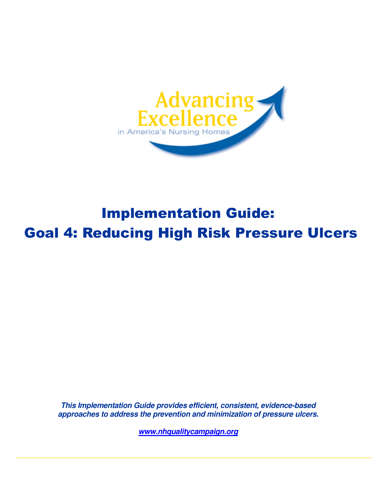

# Implementation Guide: Goal 4: Reducing High Risk Pressure Ulcers

 **This Implementation Guide provides efficient, consistent, evidence-based approaches to address the prevention and minimization of pressure ulcers.** 

 **www.nhqualitycampaign.org**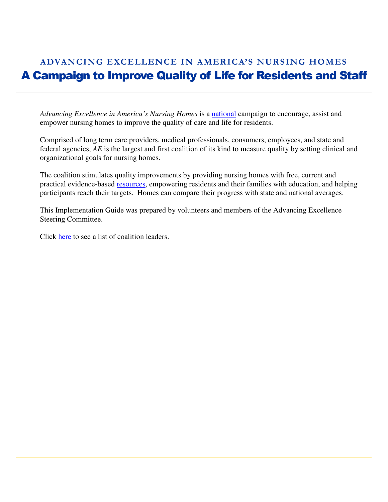## ADVANCING EXCELLENCE IN AMERICA'S NURSING HOMES A Campaign to Improve Quality of Life for Residents and Staff

Advancing Excellence in America's Nursing Homes is a **national** campaign to encourage, assist and empower nursing homes to improve the quality of care and life for residents.

 Comprised of long term care providers, medical professionals, consumers, employees, and state and federal agencies, *AE* is the largest and first coalition of its kind to measure quality by setting clinical and organizational goals for nursing homes.

 The coalition stimulates quality improvements by providing nursing homes with free, current and practical evidence-based **resources**, empowering residents and their families with education, and helping participants reach their targets. Homes can compare their progress with state and national averages.

 This Implementation Guide was prepared by volunteers and members of the Advancing Excellence Steering Committee.

Click here to see a list of coalition leaders.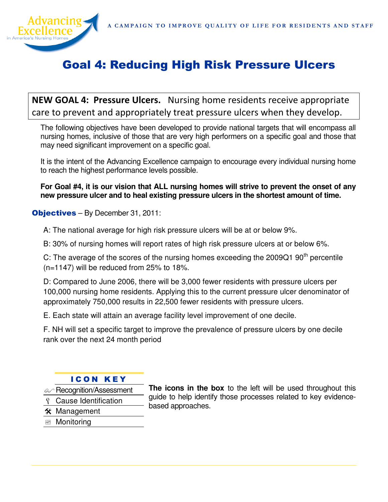

## Goal 4: Reducing High Risk Pressure Ulcers

NEW GOAL 4: Pressure Ulcers. Nursing home residents receive appropriate care to prevent and appropriately treat pressure ulcers when they develop.

 The following objectives have been developed to provide national targets that will encompass all nursing homes, inclusive of those that are very high performers on a specific goal and those that may need significant improvement on a specific goal.

 It is the intent of the Advancing Excellence campaign to encourage every individual nursing home to reach the highest performance levels possible.

 **For Goal #4, it is our vision that ALL nursing homes will strive to prevent the onset of any new pressure ulcer and to heal existing pressure ulcers in the shortest amount of time.** 

**Objectives** – By December 31, 2011:

A: The national average for high risk pressure ulcers will be at or below 9%.

B: 30% of nursing homes will report rates of high risk pressure ulcers at or below 6%.

C: The average of the scores of the nursing homes exceeding the 2009Q1 90<sup>th</sup> percentile (n=1147) will be reduced from 25% to 18%.

 100,000 nursing home residents. Applying this to the current pressure ulcer denominator of approximately 750,000 results in 22,500 fewer residents with pressure ulcers. D: Compared to June 2006, there will be 3,000 fewer residents with pressure ulcers per

E. Each state will attain an average facility level improvement of one decile.

 F. NH will set a specific target to improve the prevalence of pressure ulcers by one decile rank over the next 24 month period

#### I C O N K E Y

 $\epsilon$  Recognition/Assessment **The icons in the box** to the left will be used throughout this  $\frac{\sqrt{2}}{\sqrt{2}}$  Cause Identification guide to help identify those processes related to key evidence-<br> $\frac{1}{\sqrt{2}}$  Management <sup>9</sup> Cause Identification

■ Monitoring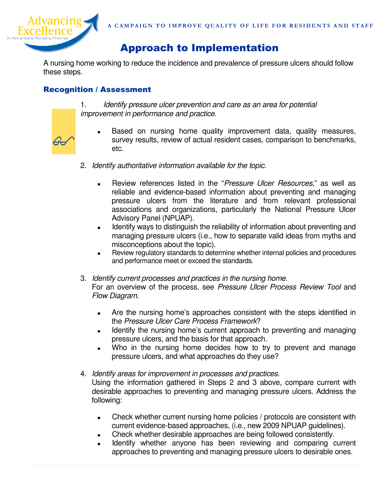

### Approach to Implementation

 A nursing home working to reduce the incidence and prevalence of pressure ulcers should follow these steps.

#### Recognition / Assessment



- 1. Identify pressure ulcer prevention and care as an area for potential improvement in performance and practice.
- • Based on nursing home quality improvement data, quality measures, Based on nursing home quality improvement data, quality measures,<br>survey results, review of actual resident cases, comparison to benchmarks, etc.
	- 2. Identify authoritative information available for the topic.
		- reliable and evidence-based information about preventing and managing pressure ulcers from the literature and from relevant professional associations and organizations, particularly the National Pressure Ulcer Advisory Panel (NPUAP). Review references listed in the "Pressure Ulcer Resources," as well as
		- managing pressure ulcers (i.e., how to separate valid ideas from myths and misconceptions about the topic). Identify ways to distinguish the reliability of information about preventing and
		- and performance meet or exceed the standards. Review regulatory standards to determine whether internal policies and procedures
	- 3. Identify current processes and practices in the nursing home. For an overview of the process, see Pressure Ulcer Process Review Tool and Flow Diagram.
		- • Are the nursing home's approaches consistent with the steps identified in the Pressure Ulcer Care Process Framework?
		- • Identify the nursing home's current approach to preventing and managing pressure ulcers, and the basis for that approach.
		- • Who in the nursing home decides how to try to prevent and manage pressure ulcers, and what approaches do they use?
	- 4. Identify areas for improvement in processes and practices.

 Using the information gathered in Steps 2 and 3 above, compare current with desirable approaches to preventing and managing pressure ulcers. Address the following:

- current evidence-based approaches, (i.e., new 2009 NPUAP guidelines). • Check whether current nursing home policies / protocols are consistent with
- Check whether desirable approaches are being followed consistently.
- approaches to preventing and managing pressure ulcers to desirable ones. Identify whether anyone has been reviewing and comparing current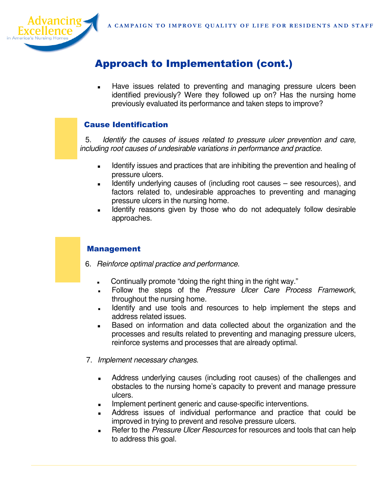

## Approach to Implementation (cont.)

 identified previously? Were they followed up on? Has the nursing home previously evaluated its performance and taken steps to improve? • Have issues related to preventing and managing pressure ulcers been

#### Cause Identification

 5. Identify the causes of issues related to pressure ulcer prevention and care, � including root causes of undesirable variations in performance and practice.

- • Identify issues and practices that are inhibiting the prevention and healing of pressure ulcers.
- • Identify underlying causes of (including root causes see resources), and factors related to, undesirable approaches to preventing and managing pressure ulcers in the nursing home.
- • Identify reasons given by those who do not adequately follow desirable approaches.

#### Management

- 6. Reinforce optimal practice and performance.  $\begin{array}{|c|c|c|}\n\hline\n\text{d} & \text{d}\n\end{array}$ 
	- Continually promote "doing the right thing in the right way."
	- • Follow the steps of the Pressure Ulcer Care Process Framework, throughout the nursing home.
	- **-** Identify and use tools and resources to help implement the steps and address related issues.
	- • Based on information and data collected about the organization and the processes and results related to preventing and managing pressure ulcers, reinforce systems and processes that are already optimal.
	- 7. Implement necessary changes.
		- • Address underlying causes (including root causes) of the challenges and obstacles to the nursing home's capacity to prevent and manage pressure ulcers.
		- Implement pertinent generic and cause-specific interventions.
		- • Address issues of individual performance and practice that could be improved in trying to prevent and resolve pressure ulcers.
		- Refer to the Pressure Ulcer Resources for resources and tools that can help to address this goal.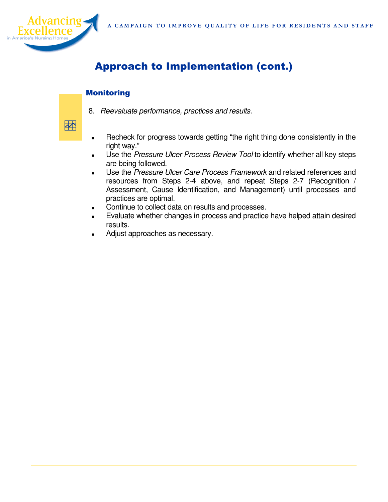

图<br>图

## Approach to Implementation (cont.)

#### Monitoring

 8. Reevaluate performance, practices and results. Г

#### • Recheck for progress towards getting "the right thing done consistently in the right way."

- Use the Pressure Ulcer Process Review Tool to identify whether all key steps are being followed.
- **Use the Pressure Ulcer Care Process Framework and related references and**  resources from Steps 2-4 above, and repeat Steps 2-7 (Recognition / Assessment, Cause Identification, and Management) until processes and practices are optimal.
- Continue to collect data on results and processes.
- • Evaluate whether changes in process and practice have helped attain desired results.
- Adjust approaches as necessary.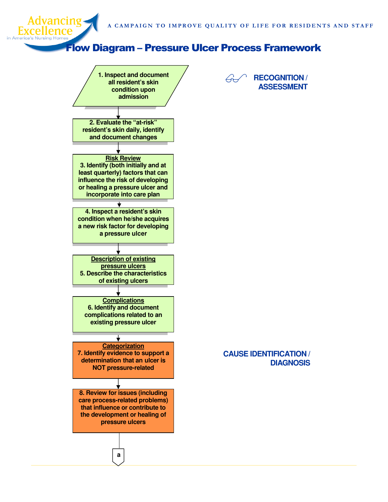A CAMPAIGN TO IMPROVE QUALITY OF LIFE FOR RESIDENTS AND STAFF

### Flow Diagram – Pressure Ulcer Process Framework

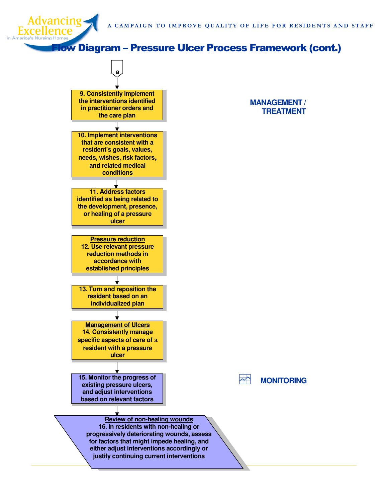A CAMPAIGN TO IMPROVE QUALITY OF LIFE FOR RESIDENTS AND STAFF

### **Flow Diagram – Pressure Ulcer Process Framework (cont.)**

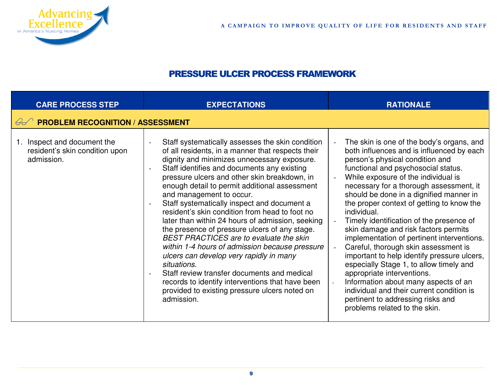

#### PRESSURE ULCER PROCESS FRAMEWORK

| <b>CARE PROCESS STEP</b>                                                    | <b>EXPECTATIONS</b>                                                                                                                                                                                                                                                                                                                                                                                                                                                                                                                                                                                                                                                                                                                                                                                                                                                                                                  | <b>RATIONALE</b>                                                                                                                                                                                                                                                                                                                                                                                                                                                                                                                                                                                                                                                                                                                                                                                                                                                                                               |  |  |
|-----------------------------------------------------------------------------|----------------------------------------------------------------------------------------------------------------------------------------------------------------------------------------------------------------------------------------------------------------------------------------------------------------------------------------------------------------------------------------------------------------------------------------------------------------------------------------------------------------------------------------------------------------------------------------------------------------------------------------------------------------------------------------------------------------------------------------------------------------------------------------------------------------------------------------------------------------------------------------------------------------------|----------------------------------------------------------------------------------------------------------------------------------------------------------------------------------------------------------------------------------------------------------------------------------------------------------------------------------------------------------------------------------------------------------------------------------------------------------------------------------------------------------------------------------------------------------------------------------------------------------------------------------------------------------------------------------------------------------------------------------------------------------------------------------------------------------------------------------------------------------------------------------------------------------------|--|--|
| <b>GUO PROBLEM RECOGNITION / ASSESSMENT</b>                                 |                                                                                                                                                                                                                                                                                                                                                                                                                                                                                                                                                                                                                                                                                                                                                                                                                                                                                                                      |                                                                                                                                                                                                                                                                                                                                                                                                                                                                                                                                                                                                                                                                                                                                                                                                                                                                                                                |  |  |
| 1. Inspect and document the<br>resident's skin condition upon<br>admission. | Staff systematically assesses the skin condition<br>of all residents, in a manner that respects their<br>dignity and minimizes unnecessary exposure.<br>Staff identifies and documents any existing<br>$\overline{\phantom{a}}$<br>pressure ulcers and other skin breakdown, in<br>enough detail to permit additional assessment<br>and management to occur.<br>Staff systematically inspect and document a<br>resident's skin condition from head to foot no<br>later than within 24 hours of admission, seeking<br>the presence of pressure ulcers of any stage.<br><b>BEST PRACTICES are to evaluate the skin</b><br>within 1-4 hours of admission because pressure<br>ulcers can develop very rapidly in many<br>situations.<br>Staff review transfer documents and medical<br>$\overline{a}$<br>records to identify interventions that have been<br>provided to existing pressure ulcers noted on<br>admission. | The skin is one of the body's organs, and<br>$\overline{\phantom{a}}$<br>both influences and is influenced by each<br>person's physical condition and<br>functional and psychosocial status.<br>While exposure of the individual is<br>$\blacksquare$<br>necessary for a thorough assessment, it<br>should be done in a dignified manner in<br>the proper context of getting to know the<br>individual.<br>Timely identification of the presence of<br>$\equiv$<br>skin damage and risk factors permits<br>implementation of pertinent interventions.<br>Careful, thorough skin assessment is<br>$\blacksquare$<br>important to help identify pressure ulcers,<br>especially Stage 1, to allow timely and<br>appropriate interventions.<br>Information about many aspects of an<br>$\omega$<br>individual and their current condition is<br>pertinent to addressing risks and<br>problems related to the skin. |  |  |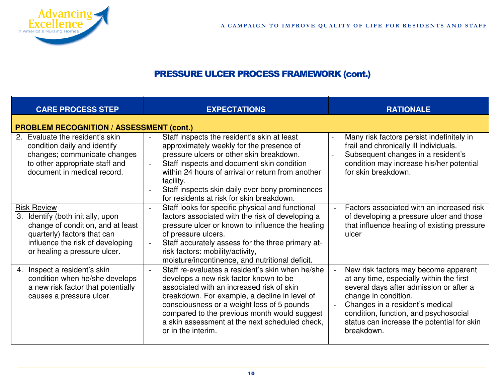

| <b>CARE PROCESS STEP</b>                                                                                                                                                                           | <b>EXPECTATIONS</b>                                                                                                                                                                                                                                                                                                                                                                        | <b>RATIONALE</b>                                                                                                                                                                                                                                                                                                        |  |  |
|----------------------------------------------------------------------------------------------------------------------------------------------------------------------------------------------------|--------------------------------------------------------------------------------------------------------------------------------------------------------------------------------------------------------------------------------------------------------------------------------------------------------------------------------------------------------------------------------------------|-------------------------------------------------------------------------------------------------------------------------------------------------------------------------------------------------------------------------------------------------------------------------------------------------------------------------|--|--|
| <b>PROBLEM RECOGNITION / ASSESSMENT (cont.)</b>                                                                                                                                                    |                                                                                                                                                                                                                                                                                                                                                                                            |                                                                                                                                                                                                                                                                                                                         |  |  |
| 2. Evaluate the resident's skin<br>condition daily and identify<br>changes; communicate changes<br>to other appropriate staff and<br>document in medical record.                                   | Staff inspects the resident's skin at least<br>approximately weekly for the presence of<br>pressure ulcers or other skin breakdown.<br>Staff inspects and document skin condition<br>within 24 hours of arrival or return from another<br>facility.<br>Staff inspects skin daily over bony prominences<br>for residents at risk for skin breakdown.                                        | Many risk factors persist indefinitely in<br>$\overline{\phantom{a}}$<br>frail and chronically ill individuals.<br>Subsequent changes in a resident's<br>condition may increase his/her potential<br>for skin breakdown.                                                                                                |  |  |
| <b>Risk Review</b><br>Identify (both initially, upon<br>3.<br>change of condition, and at least<br>quarterly) factors that can<br>influence the risk of developing<br>or healing a pressure ulcer. | Staff looks for specific physical and functional<br>$\overline{\phantom{a}}$<br>factors associated with the risk of developing a<br>pressure ulcer or known to influence the healing<br>of pressure ulcers.<br>Staff accurately assess for the three primary at-<br>risk factors: mobility/activity,<br>moisture/incontinence, and nutritional deficit.                                    | Factors associated with an increased risk<br>$\sim$<br>of developing a pressure ulcer and those<br>that influence healing of existing pressure<br>ulcer                                                                                                                                                                 |  |  |
| Inspect a resident's skin<br>4.<br>condition when he/she develops<br>a new risk factor that potentially<br>causes a pressure ulcer                                                                 | Staff re-evaluates a resident's skin when he/she<br>$\overline{\phantom{a}}$<br>develops a new risk factor known to be<br>associated with an increased risk of skin<br>breakdown. For example, a decline in level of<br>consciousness or a weight loss of 5 pounds<br>compared to the previous month would suggest<br>a skin assessment at the next scheduled check,<br>or in the interim. | New risk factors may become apparent<br>$\overline{\phantom{a}}$<br>at any time, especially within the first<br>several days after admission or after a<br>change in condition.<br>Changes in a resident's medical<br>condition, function, and psychosocial<br>status can increase the potential for skin<br>breakdown. |  |  |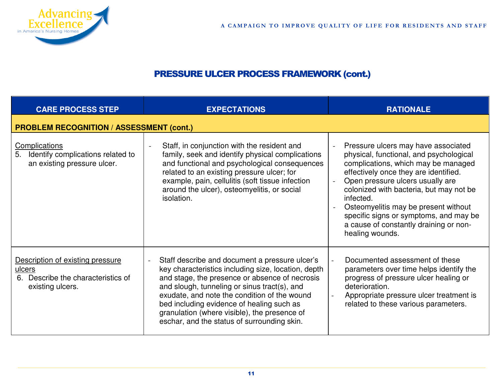| <b>CARE PROCESS STEP</b>                                                                                | <b>EXPECTATIONS</b>                                                                                                                                                                                                                                                                                                                                                                                                             | <b>RATIONALE</b>                                                                                                                                                                                                                                                                                                                                                                                                            |  |  |  |  |  |
|---------------------------------------------------------------------------------------------------------|---------------------------------------------------------------------------------------------------------------------------------------------------------------------------------------------------------------------------------------------------------------------------------------------------------------------------------------------------------------------------------------------------------------------------------|-----------------------------------------------------------------------------------------------------------------------------------------------------------------------------------------------------------------------------------------------------------------------------------------------------------------------------------------------------------------------------------------------------------------------------|--|--|--|--|--|
|                                                                                                         | <b>PROBLEM RECOGNITION / ASSESSMENT (cont.)</b>                                                                                                                                                                                                                                                                                                                                                                                 |                                                                                                                                                                                                                                                                                                                                                                                                                             |  |  |  |  |  |
| Complications<br>Identify complications related to<br>5.<br>an existing pressure ulcer.                 | Staff, in conjunction with the resident and<br>$\overline{\phantom{a}}$<br>family, seek and identify physical complications<br>and functional and psychological consequences<br>related to an existing pressure ulcer; for<br>example, pain, cellulitis (soft tissue infection<br>around the ulcer), osteomyelitis, or social<br>isolation.                                                                                     | Pressure ulcers may have associated<br>$\overline{a}$<br>physical, functional, and psychological<br>complications, which may be managed<br>effectively once they are identified.<br>Open pressure ulcers usually are<br>colonized with bacteria, but may not be<br>infected.<br>Osteomyelitis may be present without<br>specific signs or symptoms, and may be<br>a cause of constantly draining or non-<br>healing wounds. |  |  |  |  |  |
| Description of existing pressure<br>ulcers<br>Describe the characteristics of<br>6.<br>existing ulcers. | Staff describe and document a pressure ulcer's<br>$\overline{\phantom{a}}$<br>key characteristics including size, location, depth<br>and stage, the presence or absence of necrosis<br>and slough, tunneling or sinus tract(s), and<br>exudate, and note the condition of the wound<br>bed including evidence of healing such as<br>granulation (where visible), the presence of<br>eschar, and the status of surrounding skin. | Documented assessment of these<br>$\overline{a}$<br>parameters over time helps identify the<br>progress of pressure ulcer healing or<br>deterioration.<br>Appropriate pressure ulcer treatment is<br>related to these various parameters.                                                                                                                                                                                   |  |  |  |  |  |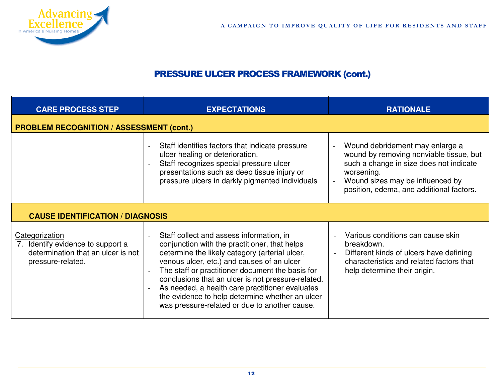

| <b>CARE PROCESS STEP</b>                                                                                          | <b>EXPECTATIONS</b>                                                                                                                                                                                                                                                                                                                                                                                                                                                          | <b>RATIONALE</b>                                                                                                                                                                                                                                |  |
|-------------------------------------------------------------------------------------------------------------------|------------------------------------------------------------------------------------------------------------------------------------------------------------------------------------------------------------------------------------------------------------------------------------------------------------------------------------------------------------------------------------------------------------------------------------------------------------------------------|-------------------------------------------------------------------------------------------------------------------------------------------------------------------------------------------------------------------------------------------------|--|
| <b>PROBLEM RECOGNITION / ASSESSMENT (cont.)</b>                                                                   |                                                                                                                                                                                                                                                                                                                                                                                                                                                                              |                                                                                                                                                                                                                                                 |  |
|                                                                                                                   | Staff identifies factors that indicate pressure<br>ulcer healing or deterioration.<br>Staff recognizes special pressure ulcer<br>presentations such as deep tissue injury or<br>pressure ulcers in darkly pigmented individuals                                                                                                                                                                                                                                              | Wound debridement may enlarge a<br>$\overline{\phantom{a}}$<br>wound by removing nonviable tissue, but<br>such a change in size does not indicate<br>worsening.<br>Wound sizes may be influenced by<br>position, edema, and additional factors. |  |
| <b>CAUSE IDENTIFICATION / DIAGNOSIS</b>                                                                           |                                                                                                                                                                                                                                                                                                                                                                                                                                                                              |                                                                                                                                                                                                                                                 |  |
| Categorization<br>Identify evidence to support a<br>7.<br>determination that an ulcer is not<br>pressure-related. | Staff collect and assess information, in<br>$\blacksquare$<br>conjunction with the practitioner, that helps<br>determine the likely category (arterial ulcer,<br>venous ulcer, etc.) and causes of an ulcer<br>The staff or practitioner document the basis for<br>conclusions that an ulcer is not pressure-related.<br>As needed, a health care practitioner evaluates<br>the evidence to help determine whether an ulcer<br>was pressure-related or due to another cause. | Various conditions can cause skin<br>$\overline{a}$<br>breakdown.<br>Different kinds of ulcers have defining<br>characteristics and related factors that<br>help determine their origin.                                                        |  |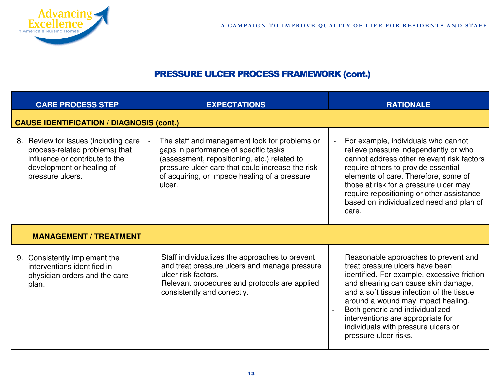| <b>CARE PROCESS STEP</b>                                                                                                                                  | <b>EXPECTATIONS</b>                                                                                                                                                                                                                                   | <b>RATIONALE</b>                                                                                                                                                                                                                                                                                                                                                                                                     |  |  |  |  |
|-----------------------------------------------------------------------------------------------------------------------------------------------------------|-------------------------------------------------------------------------------------------------------------------------------------------------------------------------------------------------------------------------------------------------------|----------------------------------------------------------------------------------------------------------------------------------------------------------------------------------------------------------------------------------------------------------------------------------------------------------------------------------------------------------------------------------------------------------------------|--|--|--|--|
| <b>CAUSE IDENTIFICATION / DIAGNOSIS (cont.)</b>                                                                                                           |                                                                                                                                                                                                                                                       |                                                                                                                                                                                                                                                                                                                                                                                                                      |  |  |  |  |
| 8. Review for issues (including care<br>process-related problems) that<br>influence or contribute to the<br>development or healing of<br>pressure ulcers. | The staff and management look for problems or<br>gaps in performance of specific tasks<br>(assessment, repositioning, etc.) related to<br>pressure ulcer care that could increase the risk<br>of acquiring, or impede healing of a pressure<br>ulcer. | For example, individuals who cannot<br>$\overline{\phantom{a}}$<br>relieve pressure independently or who<br>cannot address other relevant risk factors<br>require others to provide essential<br>elements of care. Therefore, some of<br>those at risk for a pressure ulcer may<br>require repositioning or other assistance<br>based on individualized need and plan of<br>care.                                    |  |  |  |  |
| <b>MANAGEMENT / TREATMENT</b>                                                                                                                             |                                                                                                                                                                                                                                                       |                                                                                                                                                                                                                                                                                                                                                                                                                      |  |  |  |  |
| 9. Consistently implement the<br>interventions identified in<br>physician orders and the care<br>plan.                                                    | Staff individualizes the approaches to prevent<br>and treat pressure ulcers and manage pressure<br>ulcer risk factors.<br>Relevant procedures and protocols are applied<br>consistently and correctly.                                                | Reasonable approaches to prevent and<br>treat pressure ulcers have been<br>identified. For example, excessive friction<br>and shearing can cause skin damage,<br>and a soft tissue infection of the tissue<br>around a wound may impact healing.<br>Both generic and individualized<br>$\overline{\phantom{a}}$<br>interventions are appropriate for<br>individuals with pressure ulcers or<br>pressure ulcer risks. |  |  |  |  |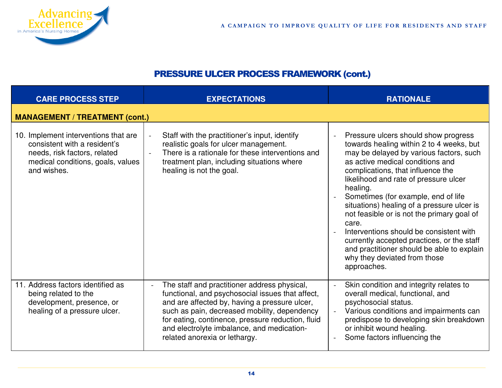

| <b>CARE PROCESS STEP</b>                                                                                                                                 | <b>EXPECTATIONS</b>                                                                                                                                                                                                                                                                                                                   | <b>RATIONALE</b>                                                                                                                                                                                                                                                                                                                                                                                                                                                                                                                                                                                              |  |  |  |  |  |
|----------------------------------------------------------------------------------------------------------------------------------------------------------|---------------------------------------------------------------------------------------------------------------------------------------------------------------------------------------------------------------------------------------------------------------------------------------------------------------------------------------|---------------------------------------------------------------------------------------------------------------------------------------------------------------------------------------------------------------------------------------------------------------------------------------------------------------------------------------------------------------------------------------------------------------------------------------------------------------------------------------------------------------------------------------------------------------------------------------------------------------|--|--|--|--|--|
| <b>MANAGEMENT / TREATMENT (cont.)</b>                                                                                                                    |                                                                                                                                                                                                                                                                                                                                       |                                                                                                                                                                                                                                                                                                                                                                                                                                                                                                                                                                                                               |  |  |  |  |  |
| 10. Implement interventions that are<br>consistent with a resident's<br>needs, risk factors, related<br>medical conditions, goals, values<br>and wishes. | Staff with the practitioner's input, identify<br>realistic goals for ulcer management.<br>There is a rationale for these interventions and<br>treatment plan, including situations where<br>healing is not the goal.                                                                                                                  | Pressure ulcers should show progress<br>$\overline{a}$<br>towards healing within 2 to 4 weeks, but<br>may be delayed by various factors, such<br>as active medical conditions and<br>complications, that influence the<br>likelihood and rate of pressure ulcer<br>healing.<br>Sometimes (for example, end of life<br>situations) healing of a pressure ulcer is<br>not feasible or is not the primary goal of<br>care.<br>Interventions should be consistent with<br>currently accepted practices, or the staff<br>and practitioner should be able to explain<br>why they deviated from those<br>approaches. |  |  |  |  |  |
| 11. Address factors identified as<br>being related to the<br>development, presence, or<br>healing of a pressure ulcer.                                   | The staff and practitioner address physical,<br>functional, and psychosocial issues that affect,<br>and are affected by, having a pressure ulcer,<br>such as pain, decreased mobility, dependency<br>for eating, continence, pressure reduction, fluid<br>and electrolyte imbalance, and medication-<br>related anorexia or lethargy. | Skin condition and integrity relates to<br>$\overline{\phantom{a}}$<br>overall medical, functional, and<br>psychosocial status.<br>Various conditions and impairments can<br>$\overline{\phantom{a}}$<br>predispose to developing skin breakdown<br>or inhibit wound healing.<br>Some factors influencing the                                                                                                                                                                                                                                                                                                 |  |  |  |  |  |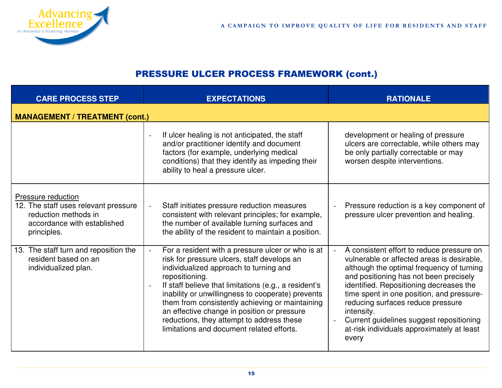| <b>CARE PROCESS STEP</b>                                                                                                         | <b>EXPECTATIONS</b>                                                                                                                                                                                                                                                                                                                                                                                                                                                                                                  | <b>RATIONALE</b>                                                                                                                                                                                                                                                                                                                                                                                                             |  |  |  |
|----------------------------------------------------------------------------------------------------------------------------------|----------------------------------------------------------------------------------------------------------------------------------------------------------------------------------------------------------------------------------------------------------------------------------------------------------------------------------------------------------------------------------------------------------------------------------------------------------------------------------------------------------------------|------------------------------------------------------------------------------------------------------------------------------------------------------------------------------------------------------------------------------------------------------------------------------------------------------------------------------------------------------------------------------------------------------------------------------|--|--|--|
| <b>MANAGEMENT / TREATMENT (cont.)</b>                                                                                            |                                                                                                                                                                                                                                                                                                                                                                                                                                                                                                                      |                                                                                                                                                                                                                                                                                                                                                                                                                              |  |  |  |
|                                                                                                                                  | If ulcer healing is not anticipated, the staff<br>and/or practitioner identify and document<br>factors (for example, underlying medical<br>conditions) that they identify as impeding their<br>ability to heal a pressure ulcer.                                                                                                                                                                                                                                                                                     | development or healing of pressure<br>ulcers are correctable, while others may<br>be only partially correctable or may<br>worsen despite interventions.                                                                                                                                                                                                                                                                      |  |  |  |
| Pressure reduction<br>12. The staff uses relevant pressure<br>reduction methods in<br>accordance with established<br>principles. | Staff initiates pressure reduction measures<br>consistent with relevant principles; for example,<br>the number of available turning surfaces and<br>the ability of the resident to maintain a position.                                                                                                                                                                                                                                                                                                              | Pressure reduction is a key component of<br>pressure ulcer prevention and healing.                                                                                                                                                                                                                                                                                                                                           |  |  |  |
| 13. The staff turn and reposition the<br>resident based on an<br>individualized plan.                                            | For a resident with a pressure ulcer or who is at<br>$\overline{\phantom{a}}$<br>risk for pressure ulcers, staff develops an<br>individualized approach to turning and<br>repositioning.<br>If staff believe that limitations (e.g., a resident's<br>$\overline{a}$<br>inability or unwillingness to cooperate) prevents<br>them from consistently achieving or maintaining<br>an effective change in position or pressure<br>reductions, they attempt to address these<br>limitations and document related efforts. | A consistent effort to reduce pressure on<br>vulnerable or affected areas is desirable,<br>although the optimal frequency of turning<br>and positioning has not been precisely<br>identified. Repositioning decreases the<br>time spent in one position, and pressure-<br>reducing surfaces reduce pressure<br>intensity.<br>Current guidelines suggest repositioning<br>at-risk individuals approximately at least<br>every |  |  |  |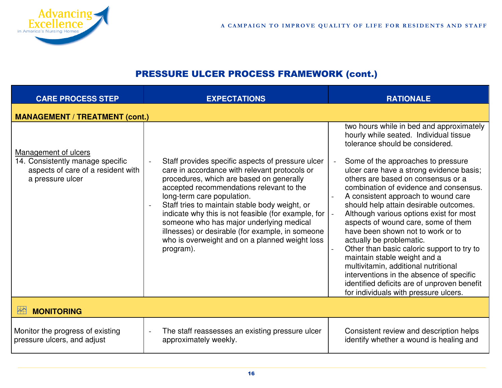

| <b>CARE PROCESS STEP</b>                                                                                           | <b>EXPECTATIONS</b>                                                                                                                                                                                                                                                                                                                                                                                                                                                                              | <b>RATIONALE</b>                                                                                                                                                                                                                                                                                                                                                                                                                                                                                                                                                                                                                                                                                                                                                                                        |  |  |  |  |  |
|--------------------------------------------------------------------------------------------------------------------|--------------------------------------------------------------------------------------------------------------------------------------------------------------------------------------------------------------------------------------------------------------------------------------------------------------------------------------------------------------------------------------------------------------------------------------------------------------------------------------------------|---------------------------------------------------------------------------------------------------------------------------------------------------------------------------------------------------------------------------------------------------------------------------------------------------------------------------------------------------------------------------------------------------------------------------------------------------------------------------------------------------------------------------------------------------------------------------------------------------------------------------------------------------------------------------------------------------------------------------------------------------------------------------------------------------------|--|--|--|--|--|
| <b>MANAGEMENT / TREATMENT (cont.)</b>                                                                              |                                                                                                                                                                                                                                                                                                                                                                                                                                                                                                  |                                                                                                                                                                                                                                                                                                                                                                                                                                                                                                                                                                                                                                                                                                                                                                                                         |  |  |  |  |  |
| Management of ulcers<br>14. Consistently manage specific<br>aspects of care of a resident with<br>a pressure ulcer | Staff provides specific aspects of pressure ulcer<br>care in accordance with relevant protocols or<br>procedures, which are based on generally<br>accepted recommendations relevant to the<br>long-term care population.<br>Staff tries to maintain stable body weight, or<br>indicate why this is not feasible (for example, for<br>someone who has major underlying medical<br>illnesses) or desirable (for example, in someone<br>who is overweight and on a planned weight loss<br>program). | two hours while in bed and approximately<br>hourly while seated. Individual tissue<br>tolerance should be considered.<br>Some of the approaches to pressure<br>ulcer care have a strong evidence basis;<br>others are based on consensus or a<br>combination of evidence and consensus.<br>A consistent approach to wound care<br>should help attain desirable outcomes.<br>Although various options exist for most<br>$\overline{a}$<br>aspects of wound care, some of them<br>have been shown not to work or to<br>actually be problematic.<br>Other than basic caloric support to try to<br>maintain stable weight and a<br>multivitamin, additional nutritional<br>interventions in the absence of specific<br>identified deficits are of unproven benefit<br>for individuals with pressure ulcers. |  |  |  |  |  |
| $\blacktriangleright$<br><b>MONITORING</b>                                                                         |                                                                                                                                                                                                                                                                                                                                                                                                                                                                                                  |                                                                                                                                                                                                                                                                                                                                                                                                                                                                                                                                                                                                                                                                                                                                                                                                         |  |  |  |  |  |
| Monitor the progress of existing<br>pressure ulcers, and adjust                                                    | The staff reassesses an existing pressure ulcer<br>approximately weekly.                                                                                                                                                                                                                                                                                                                                                                                                                         | Consistent review and description helps<br>identify whether a wound is healing and                                                                                                                                                                                                                                                                                                                                                                                                                                                                                                                                                                                                                                                                                                                      |  |  |  |  |  |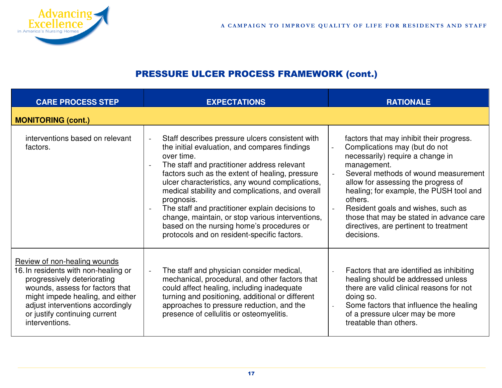| <b>CARE PROCESS STEP</b>                                                                                                                                                                                                                                          | <b>EXPECTATIONS</b>                                                                                                                                                                                                                                                                                                                                                                                                                                                                                                                      | <b>RATIONALE</b>                                                                                                                                                                                                                                                                                                                                                                                                                                          |  |  |
|-------------------------------------------------------------------------------------------------------------------------------------------------------------------------------------------------------------------------------------------------------------------|------------------------------------------------------------------------------------------------------------------------------------------------------------------------------------------------------------------------------------------------------------------------------------------------------------------------------------------------------------------------------------------------------------------------------------------------------------------------------------------------------------------------------------------|-----------------------------------------------------------------------------------------------------------------------------------------------------------------------------------------------------------------------------------------------------------------------------------------------------------------------------------------------------------------------------------------------------------------------------------------------------------|--|--|
| <b>MONITORING (cont.)</b>                                                                                                                                                                                                                                         |                                                                                                                                                                                                                                                                                                                                                                                                                                                                                                                                          |                                                                                                                                                                                                                                                                                                                                                                                                                                                           |  |  |
| interventions based on relevant<br>factors.                                                                                                                                                                                                                       | Staff describes pressure ulcers consistent with<br>the initial evaluation, and compares findings<br>over time.<br>The staff and practitioner address relevant<br>factors such as the extent of healing, pressure<br>ulcer characteristics, any wound complications,<br>medical stability and complications, and overall<br>prognosis.<br>The staff and practitioner explain decisions to<br>change, maintain, or stop various interventions,<br>based on the nursing home's procedures or<br>protocols and on resident-specific factors. | factors that may inhibit their progress.<br>Complications may (but do not<br>$\overline{\phantom{a}}$<br>necessarily) require a change in<br>management.<br>Several methods of wound measurement<br>allow for assessing the progress of<br>healing; for example, the PUSH tool and<br>others.<br>Resident goals and wishes, such as<br>$\blacksquare$<br>those that may be stated in advance care<br>directives, are pertinent to treatment<br>decisions. |  |  |
| Review of non-healing wounds<br>16. In residents with non-healing or<br>progressively deteriorating<br>wounds, assess for factors that<br>might impede healing, and either<br>adjust interventions accordingly<br>or justify continuing current<br>interventions. | The staff and physician consider medical,<br>$\overline{a}$<br>mechanical, procedural, and other factors that<br>could affect healing, including inadequate<br>turning and positioning, additional or different<br>approaches to pressure reduction, and the<br>presence of cellulitis or osteomyelitis.                                                                                                                                                                                                                                 | Factors that are identified as inhibiting<br>healing should be addressed unless<br>there are valid clinical reasons for not<br>doing so.<br>Some factors that influence the healing<br>$\bar{\phantom{a}}$<br>of a pressure ulcer may be more<br>treatable than others.                                                                                                                                                                                   |  |  |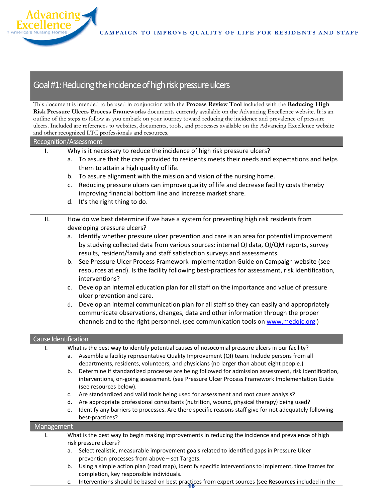

|                      |                  | Goal #1: Reducing the incidence of high risk pressure ulcers                                                                                                                                                                                 |
|----------------------|------------------|----------------------------------------------------------------------------------------------------------------------------------------------------------------------------------------------------------------------------------------------|
|                      |                  |                                                                                                                                                                                                                                              |
|                      |                  | This document is intended to be used in conjunction with the Process Review Tool included with the Reducing High                                                                                                                             |
|                      |                  | Risk Pressure Ulcers Process Frameworks documents currently available on the Advancing Excellence website. It is an<br>outline of the steps to follow as you embark on your journey toward reducing the incidence and prevalence of pressure |
|                      |                  | ulcers. Included are references to websites, documents, tools, and processes available on the Advancing Excellence website                                                                                                                   |
|                      |                  | and other recognized LTC professionals and resources.                                                                                                                                                                                        |
|                      |                  | Recognition/Assessment                                                                                                                                                                                                                       |
| Ι.                   |                  | Why is it necessary to reduce the incidence of high risk pressure ulcers?                                                                                                                                                                    |
|                      | а.               | To assure that the care provided to residents meets their needs and expectations and helps                                                                                                                                                   |
|                      |                  | them to attain a high quality of life.                                                                                                                                                                                                       |
|                      | b.               | To assure alignment with the mission and vision of the nursing home.<br>Reducing pressure ulcers can improve quality of life and decrease facility costs thereby                                                                             |
|                      | c.               | improving financial bottom line and increase market share.                                                                                                                                                                                   |
|                      | d.               | It's the right thing to do.                                                                                                                                                                                                                  |
|                      |                  |                                                                                                                                                                                                                                              |
| ΙΙ.                  |                  | How do we best determine if we have a system for preventing high risk residents from                                                                                                                                                         |
|                      |                  | developing pressure ulcers?                                                                                                                                                                                                                  |
|                      | a.               | Identify whether pressure ulcer prevention and care is an area for potential improvement                                                                                                                                                     |
|                      |                  | by studying collected data from various sources: internal QI data, QI/QM reports, survey                                                                                                                                                     |
|                      |                  | results, resident/family and staff satisfaction surveys and assessments.                                                                                                                                                                     |
|                      |                  | b. See Pressure Ulcer Process Framework Implementation Guide on Campaign website (see                                                                                                                                                        |
|                      |                  | resources at end). Is the facility following best-practices for assessment, risk identification,                                                                                                                                             |
|                      |                  | interventions?                                                                                                                                                                                                                               |
|                      | c.               | Develop an internal education plan for all staff on the importance and value of pressure<br>ulcer prevention and care.                                                                                                                       |
|                      | d.               | Develop an internal communication plan for all staff so they can easily and appropriately                                                                                                                                                    |
|                      |                  | communicate observations, changes, data and other information through the proper                                                                                                                                                             |
|                      |                  | channels and to the right personnel. (see communication tools on www.medgic.org)                                                                                                                                                             |
|                      |                  |                                                                                                                                                                                                                                              |
| Cause Identification |                  |                                                                                                                                                                                                                                              |
| Ι.                   |                  | What is the best way to identify potential causes of nosocomial pressure ulcers in our facility?                                                                                                                                             |
|                      |                  | Assemble a facility representative Quality Improvement (QI) team. Include persons from all                                                                                                                                                   |
|                      |                  | departments, residents, volunteers, and physicians (no larger than about eight people.)                                                                                                                                                      |
|                      | b.               | Determine if standardized processes are being followed for admission assessment, risk identification,<br>interventions, on-going assessment. (see Pressure Ulcer Process Framework Implementation Guide                                      |
|                      |                  | (see resources below).                                                                                                                                                                                                                       |
|                      | c.               | Are standardized and valid tools being used for assessment and root cause analysis?                                                                                                                                                          |
|                      | d.               | Are appropriate professional consultants (nutrition, wound, physical therapy) being used?                                                                                                                                                    |
|                      | е.               | Identify any barriers to processes. Are there specific reasons staff give for not adequately following<br>best-practices?                                                                                                                    |
| Management           |                  |                                                                                                                                                                                                                                              |
| Ι.                   |                  | What is the best way to begin making improvements in reducing the incidence and prevalence of high                                                                                                                                           |
|                      |                  | risk pressure ulcers?                                                                                                                                                                                                                        |
|                      | а.               | Select realistic, measurable improvement goals related to identified gaps in Pressure Ulcer                                                                                                                                                  |
|                      |                  | prevention processes from above - set Targets.                                                                                                                                                                                               |
|                      | b.               | Using a simple action plan (road map), identify specific interventions to implement, time frames for                                                                                                                                         |
|                      | $\overline{C}$ . | completion, key responsible individuals.<br>Interventions should be based on best practices from expert sources (see Resources included in the                                                                                               |
|                      |                  |                                                                                                                                                                                                                                              |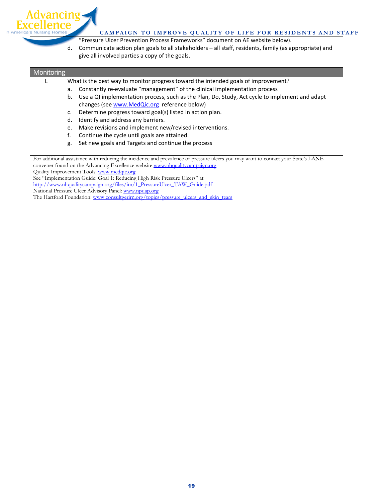

#### CAMPAIGN TO IMPROVE QUALITY OF LIFE FOR RESIDENTS AND STAFF

 "Pressure Ulcer Prevention Process Frameworks" document on AE website below). d. Communicate action plan goals to all stakeholders – all staff, residents, family (as appropriate) and give all involved parties a copy of the goals.

#### **Monitoring**

I. What is the best way to monitor progress toward the intended goals of improvement?

- a. Constantly re-evaluate "management" of the clinical implementation process
- b. Use a QI implementation process, such as the Plan, Do, Study, Act cycle to implement and adapt changes (see www.MedQic.org reference below)
- c. Determine progress toward goal(s) listed in action plan.
- d. Identify and address any barriers.
- e. Make revisions and implement new/revised interventions.
- f. Continue the cycle until goals are attained.
- g. Set new goals and Targets and continue the process

 For additional assistance with reducing the incidence and prevalence of pressure ulcers you may want to contact your State's LANE convener found on the Advancing Excellence website www.nhqualitycampaign.org

Quality Improvement Tools: www.medqic.org

See "Implementation Guide: Goal 1: Reducing High Risk Pressure Ulcers" at

http://www.nhqualitycampaign.org/files/im/1\_PressureUlcer\_TAW\_Guide.pdf

National Pressure Ulcer Advisory Panel: www.npuap.org

The Hartford Foundation: www.consultgerirn,org/topics/pressure\_ulcers\_and\_skin\_tears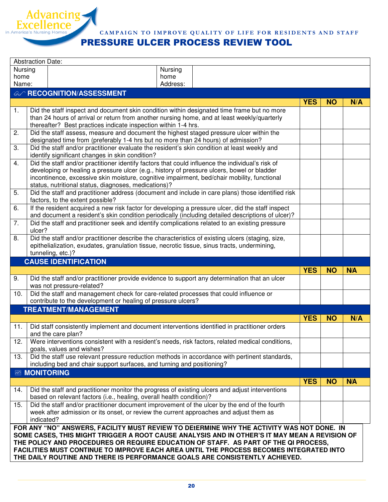

CAMPAIGN TO IMPROVE QUALITY OF LIFE FOR RESIDENTS AND STAFF

#### PRESSURE ULCER PROCESS REVIEW TOOL

|               | <b>Abstraction Date:</b>                                                                     |                                                                                                                                                                                                        |                  |  |            |           |            |
|---------------|----------------------------------------------------------------------------------------------|--------------------------------------------------------------------------------------------------------------------------------------------------------------------------------------------------------|------------------|--|------------|-----------|------------|
| Nursing       |                                                                                              |                                                                                                                                                                                                        | Nursing          |  |            |           |            |
| home<br>Name: |                                                                                              |                                                                                                                                                                                                        | home<br>Address: |  |            |           |            |
|               |                                                                                              | <b>GO RECOGNITION/ASSESSMENT</b>                                                                                                                                                                       |                  |  |            |           |            |
|               |                                                                                              |                                                                                                                                                                                                        |                  |  | <b>YES</b> | <b>NO</b> | N/A        |
| 1.            |                                                                                              | Did the staff inspect and document skin condition within designated time frame but no more                                                                                                             |                  |  |            |           |            |
|               |                                                                                              | than 24 hours of arrival or return from another nursing home, and at least weekly/quarterly                                                                                                            |                  |  |            |           |            |
|               |                                                                                              | thereafter? Best practices indicate inspection within 1-4 hrs.                                                                                                                                         |                  |  |            |           |            |
| 2.            |                                                                                              | Did the staff assess, measure and document the highest staged pressure ulcer within the<br>designated time from (preferably 1-4 hrs but no more than 24 hours) of admission?                           |                  |  |            |           |            |
| 3.            |                                                                                              | Did the staff and/or practitioner evaluate the resident's skin condition at least weekly and                                                                                                           |                  |  |            |           |            |
|               |                                                                                              | identify significant changes in skin condition?                                                                                                                                                        |                  |  |            |           |            |
| 4.            |                                                                                              | Did the staff and/or practitioner identify factors that could influence the individual's risk of                                                                                                       |                  |  |            |           |            |
|               |                                                                                              | developing or healing a pressure ulcer (e.g., history of pressure ulcers, bowel or bladder<br>incontinence, excessive skin moisture, cognitive impairment, bed/chair mobility, functional              |                  |  |            |           |            |
|               |                                                                                              | status, nutritional status, diagnoses, medications)?                                                                                                                                                   |                  |  |            |           |            |
| 5.            |                                                                                              | Did the staff and practitioner address (document and include in care plans) those identified risk                                                                                                      |                  |  |            |           |            |
|               |                                                                                              | factors, to the extent possible?                                                                                                                                                                       |                  |  |            |           |            |
| 6.            |                                                                                              | If the resident acquired a new risk factor for developing a pressure ulcer, did the staff inspect<br>and document a resident's skin condition periodically (including detailed descriptions of ulcer)? |                  |  |            |           |            |
| 7.            |                                                                                              | Did the staff and practitioner seek and identify complications related to an existing pressure                                                                                                         |                  |  |            |           |            |
|               | ulcer?                                                                                       |                                                                                                                                                                                                        |                  |  |            |           |            |
| 8.            |                                                                                              | Did the staff and/or practitioner describe the characteristics of existing ulcers (staging, size,                                                                                                      |                  |  |            |           |            |
|               | epithelialization, exudates, granulation tissue, necrotic tissue, sinus tracts, undermining, |                                                                                                                                                                                                        |                  |  |            |           |            |
|               |                                                                                              |                                                                                                                                                                                                        |                  |  |            |           |            |
|               |                                                                                              | tunneling, etc.)?                                                                                                                                                                                      |                  |  |            |           |            |
|               |                                                                                              | <b>CAUSE IDENTIFICATION</b>                                                                                                                                                                            |                  |  |            |           |            |
| 9.            |                                                                                              |                                                                                                                                                                                                        |                  |  | <b>YES</b> | <b>NO</b> | <b>N/A</b> |
|               |                                                                                              | Did the staff and/or practitioner provide evidence to support any determination that an ulcer<br>was not pressure-related?                                                                             |                  |  |            |           |            |
| 10.           |                                                                                              | Did the staff and management check for care-related processes that could influence or                                                                                                                  |                  |  |            |           |            |
|               |                                                                                              | contribute to the development or healing of pressure ulcers?                                                                                                                                           |                  |  |            |           |            |
|               |                                                                                              | <b>TREATMENT/MANAGEMENT</b>                                                                                                                                                                            |                  |  |            |           |            |
|               |                                                                                              |                                                                                                                                                                                                        |                  |  | <b>YES</b> | <b>NO</b> | N/A        |
| 11.           |                                                                                              | Did staff consistently implement and document interventions identified in practitioner orders<br>and the care plan?                                                                                    |                  |  |            |           |            |
| 12.           |                                                                                              | Were interventions consistent with a resident's needs, risk factors, related medical conditions,                                                                                                       |                  |  |            |           |            |
|               |                                                                                              | goals, values and wishes?                                                                                                                                                                              |                  |  |            |           |            |
| 13.           |                                                                                              | Did the staff use relevant pressure reduction methods in accordance with pertinent standards,                                                                                                          |                  |  |            |           |            |
|               |                                                                                              | including bed and chair support surfaces, and turning and positioning?<br><b>EX MONITORING</b>                                                                                                         |                  |  |            |           |            |
|               |                                                                                              |                                                                                                                                                                                                        |                  |  | <b>YES</b> | <b>NO</b> | <b>N/A</b> |
| 14.           |                                                                                              | Did the staff and practitioner monitor the progress of existing ulcers and adjust interventions                                                                                                        |                  |  |            |           |            |
|               |                                                                                              | based on relevant factors (i.e., healing, overall health condition)?                                                                                                                                   |                  |  |            |           |            |
| 15.           |                                                                                              | Did the staff and/or practitioner document improvement of the ulcer by the end of the fourth                                                                                                           |                  |  |            |           |            |
|               | indicated?                                                                                   | week after admission or its onset, or review the current approaches and adjust them as                                                                                                                 |                  |  |            |           |            |
|               |                                                                                              | FOR ANY "NO" ANSWERS, FACILITY MUST REVIEW TO DEtERMINE WHY THE ACTIVITY WAS NOT DONE. IN                                                                                                              |                  |  |            |           |            |
|               |                                                                                              | SOME CASES, THIS MIGHT TRIGGER A ROOT CAUSE ANALYSIS AND IN OTHER'S IT MAY MEAN A REVISION OF                                                                                                          |                  |  |            |           |            |
|               |                                                                                              | THE POLICY AND PROCEDURES OR REQUIRE EDUCATION OF STAFF. AS PART OF THE QI PROCESS,<br>FACILITIES MUST CONTINUE TO IMPROVE EACH AREA UNTIL THE PROCESS BECOMES INTEGRATED INTO                         |                  |  |            |           |            |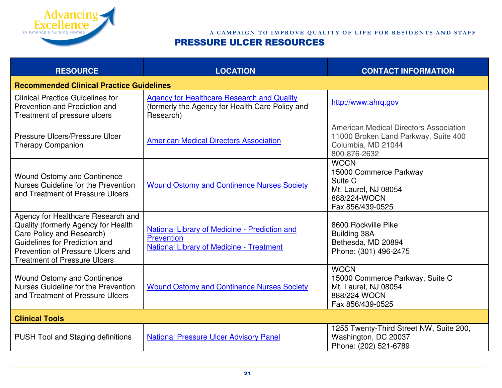

A CAMPAIGN TO IMPROVE QUALITY OF LIFE FOR RESIDENTS AND STAFF PRESSURE ULCER RESOURCES

| <b>RESOURCE</b>                                                                                                                                                                                                     | <b>LOCATION</b>                                                                                                   | <b>CONTACT INFORMATION</b>                                                                                                  |  |  |  |  |  |
|---------------------------------------------------------------------------------------------------------------------------------------------------------------------------------------------------------------------|-------------------------------------------------------------------------------------------------------------------|-----------------------------------------------------------------------------------------------------------------------------|--|--|--|--|--|
|                                                                                                                                                                                                                     | <b>Recommended Clinical Practice Guidelines</b>                                                                   |                                                                                                                             |  |  |  |  |  |
| <b>Clinical Practice Guidelines for</b><br>Prevention and Prediction and<br>Treatment of pressure ulcers                                                                                                            | <b>Agency for Healthcare Research and Quality</b><br>(formerly the Agency for Health Care Policy and<br>Research) | http://www.ahrq.gov                                                                                                         |  |  |  |  |  |
| Pressure Ulcers/Pressure Ulcer<br><b>Therapy Companion</b>                                                                                                                                                          | <b>American Medical Directors Association</b>                                                                     | <b>American Medical Directors Association</b><br>11000 Broken Land Parkway, Suite 400<br>Columbia, MD 21044<br>800-876-2632 |  |  |  |  |  |
| <b>Wound Ostomy and Continence</b><br>Nurses Guideline for the Prevention<br>and Treatment of Pressure Ulcers                                                                                                       | <b>Wound Ostomy and Continence Nurses Society</b>                                                                 | <b>WOCN</b><br>15000 Commerce Parkway<br>Suite C<br>Mt. Laurel, NJ 08054<br>888/224-WOCN<br>Fax 856/439-0525                |  |  |  |  |  |
| Agency for Healthcare Research and<br>Quality (formerly Agency for Health<br>Care Policy and Research)<br>Guidelines for Prediction and<br>Prevention of Pressure Ulcers and<br><b>Treatment of Pressure Ulcers</b> | National Library of Medicine - Prediction and<br>Prevention<br><b>National Library of Medicine - Treatment</b>    | 8600 Rockville Pike<br><b>Building 38A</b><br>Bethesda, MD 20894<br>Phone: (301) 496-2475                                   |  |  |  |  |  |
| <b>Wound Ostomy and Continence</b><br>Nurses Guideline for the Prevention<br>and Treatment of Pressure Ulcers                                                                                                       | <b>Wound Ostomy and Continence Nurses Society</b>                                                                 | <b>WOCN</b><br>15000 Commerce Parkway, Suite C<br>Mt. Laurel, NJ 08054<br>888/224-WOCN<br>Fax 856/439-0525                  |  |  |  |  |  |
| <b>Clinical Tools</b>                                                                                                                                                                                               |                                                                                                                   |                                                                                                                             |  |  |  |  |  |
| PUSH Tool and Staging definitions                                                                                                                                                                                   | <b>National Pressure Ulcer Advisory Panel</b>                                                                     | 1255 Twenty-Third Street NW, Suite 200,<br>Washington, DC 20037<br>Phone: (202) 521-6789                                    |  |  |  |  |  |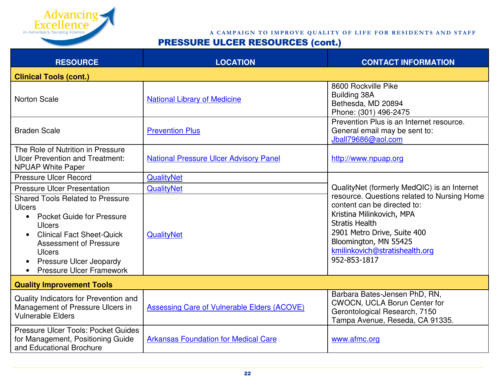

A CAMPAIGN TO IMPROVE QUALITY OF LIFE FOR RESIDENTS AND STAFF

PRESSURE ULCER RESOURCES (cont.)

| <b>RESOURCE</b>                                                                                                                                                                                                                                                                                                              | <b>LOCATION</b>                                    | <b>CONTACT INFORMATION</b>                                                                                                                                                                                                                 |
|------------------------------------------------------------------------------------------------------------------------------------------------------------------------------------------------------------------------------------------------------------------------------------------------------------------------------|----------------------------------------------------|--------------------------------------------------------------------------------------------------------------------------------------------------------------------------------------------------------------------------------------------|
| <b>Clinical Tools (cont.)</b>                                                                                                                                                                                                                                                                                                |                                                    |                                                                                                                                                                                                                                            |
| <b>Norton Scale</b>                                                                                                                                                                                                                                                                                                          | <b>National Library of Medicine</b>                | 8600 Rockville Pike<br><b>Building 38A</b><br>Bethesda, MD 20894<br>Phone: (301) 496-2475                                                                                                                                                  |
| <b>Braden Scale</b>                                                                                                                                                                                                                                                                                                          | <b>Prevention Plus</b>                             | Prevention Plus is an Internet resource.<br>General email may be sent to:<br>Jball79686@aol.com                                                                                                                                            |
| The Role of Nutrition in Pressure<br><b>Ulcer Prevention and Treatment:</b><br><b>NPUAP White Paper</b>                                                                                                                                                                                                                      | <b>National Pressure Ulcer Advisory Panel</b>      | http://www.npuap.org                                                                                                                                                                                                                       |
| <b>Pressure Ulcer Record</b>                                                                                                                                                                                                                                                                                                 | QualityNet                                         |                                                                                                                                                                                                                                            |
| <b>Pressure Ulcer Presentation</b>                                                                                                                                                                                                                                                                                           | QualityNet                                         | QualityNet (formerly MedQIC) is an Internet                                                                                                                                                                                                |
| <b>Shared Tools Related to Pressure</b><br><b>Ulcers</b><br><b>Pocket Guide for Pressure</b><br>$\bullet$<br><b>Ulcers</b><br><b>Clinical Fact Sheet-Quick</b><br>$\bullet$<br><b>Assessment of Pressure</b><br><b>Ulcers</b><br><b>Pressure Ulcer Jeopardy</b><br>$\bullet$<br><b>Pressure Ulcer Framework</b><br>$\bullet$ | QualityNet                                         | resource. Questions related to Nursing Home<br>content can be directed to:<br>Kristina Milinkovich, MPA<br><b>Stratis Health</b><br>2901 Metro Drive, Suite 400<br>Bloomington, MN 55425<br>kmilinkovich@stratishealth.org<br>952-853-1817 |
| <b>Quality Improvement Tools</b>                                                                                                                                                                                                                                                                                             |                                                    |                                                                                                                                                                                                                                            |
| Quality Indicators for Prevention and<br>Management of Pressure Ulcers in<br><b>Vulnerable Elders</b>                                                                                                                                                                                                                        | <b>Assessing Care of Vulnerable Elders (ACOVE)</b> | Barbara Bates-Jensen PhD, RN,<br>CWOCN, UCLA Borun Center for<br>Gerontological Research, 7150<br>Tampa Avenue, Reseda, CA 91335.                                                                                                          |
| Pressure Ulcer Tools: Pocket Guides<br>for Management, Positioning Guide<br>and Educational Brochure                                                                                                                                                                                                                         | <b>Arkansas Foundation for Medical Care</b>        | www.afmc.org                                                                                                                                                                                                                               |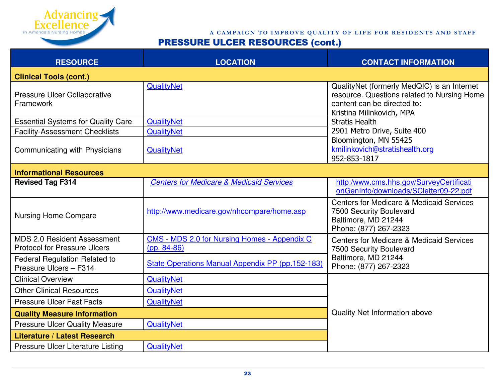

#### A CAMPAIGN TO IMPROVE QUALITY OF LIFE FOR RESIDENTS AND STAFF

#### PRESSURE ULCER RESOURCES (cont.)

| <b>RESOURCE</b>                                                    | <b>LOCATION</b>                                               | <b>CONTACT INFORMATION</b>                                                                                                                             |  |  |
|--------------------------------------------------------------------|---------------------------------------------------------------|--------------------------------------------------------------------------------------------------------------------------------------------------------|--|--|
| <b>Clinical Tools (cont.)</b>                                      |                                                               |                                                                                                                                                        |  |  |
| <b>Pressure Ulcer Collaborative</b><br>Framework                   | QualityNet                                                    | QualityNet (formerly MedQIC) is an Internet<br>resource. Questions related to Nursing Home<br>content can be directed to:<br>Kristina Milinkovich, MPA |  |  |
| <b>Essential Systems for Quality Care</b>                          | QualityNet                                                    | <b>Stratis Health</b>                                                                                                                                  |  |  |
| <b>Facility-Assessment Checklists</b>                              | QualityNet                                                    | 2901 Metro Drive, Suite 400                                                                                                                            |  |  |
| Communicating with Physicians                                      | QualityNet                                                    | Bloomington, MN 55425<br>kmilinkovich@stratishealth.org<br>952-853-1817                                                                                |  |  |
| <b>Informational Resources</b>                                     |                                                               |                                                                                                                                                        |  |  |
| <b>Revised Tag F314</b>                                            | <b>Centers for Medicare &amp; Medicaid Services</b>           | http:/www.cms.hhs.gov/SurveyCertificati<br>onGenInfo/downloads/SCletter09-22.pdf                                                                       |  |  |
| <b>Nursing Home Compare</b>                                        | http://www.medicare.gov/nhcompare/home.asp                    | <b>Centers for Medicare &amp; Medicaid Services</b><br>7500 Security Boulevard<br>Baltimore, MD 21244<br>Phone: (877) 267-2323                         |  |  |
| MDS 2.0 Resident Assessment<br><b>Protocol for Pressure Ulcers</b> | CMS - MDS 2.0 for Nursing Homes - Appendix C<br>$(pp. 84-86)$ | <b>Centers for Medicare &amp; Medicaid Services</b><br>7500 Security Boulevard                                                                         |  |  |
| <b>Federal Regulation Related to</b><br>Pressure Ulcers - F314     | State Operations Manual Appendix PP (pp.152-183)              | Baltimore, MD 21244<br>Phone: (877) 267-2323                                                                                                           |  |  |
| <b>Clinical Overview</b>                                           | QualityNet                                                    |                                                                                                                                                        |  |  |
| <b>Other Clinical Resources</b>                                    | QualityNet                                                    |                                                                                                                                                        |  |  |
| <b>Pressure Ulcer Fast Facts</b>                                   | QualityNet                                                    |                                                                                                                                                        |  |  |
| <b>Quality Measure Information</b>                                 |                                                               | Quality Net Information above                                                                                                                          |  |  |
| <b>Pressure Ulcer Quality Measure</b>                              | QualityNet                                                    |                                                                                                                                                        |  |  |
| <b>Literature / Latest Research</b>                                |                                                               |                                                                                                                                                        |  |  |
| <b>Pressure Ulcer Literature Listing</b>                           | QualityNet                                                    |                                                                                                                                                        |  |  |